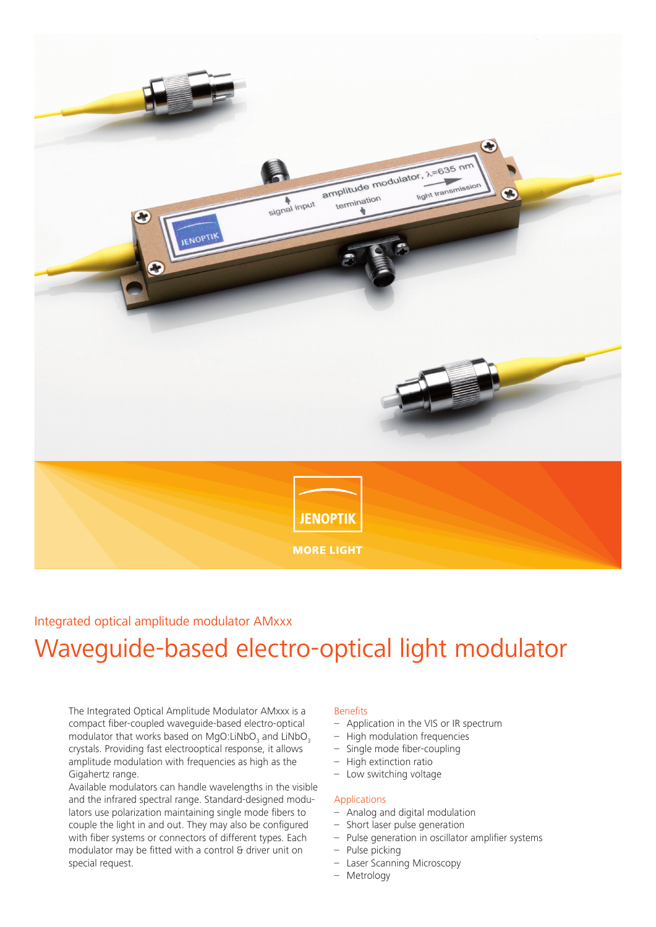

### Integrated optical amplitude modulator AMxxx

# Waveguide-based electro-optical light modulator

The Integrated Optical Amplitude Modulator AMxxx is a compact fiber-coupled waveguide-based electro-optical modulator that works based on MgO:LiNbO<sub>3</sub> and LiNbO<sub>3</sub> crystals. Providing fast electrooptical response, it allows amplitude modulation with frequencies as high as the Gigahertz range.

Available modulators can handle wavelengths in the visible and the infrared spectral range. Standard-designed modulators use polarization maintaining single mode fibers to couple the light in and out. They may also be configured with fiber systems or connectors of different types. Each modulator may be fitted with a control & driver unit on special request.

#### Benefits

- Application in the VIS or IR spectrum
- High modulation frequencies
- Single mode fiber-coupling
- High extinction ratio
- Low switching voltage

#### Applications

- Analog and digital modulation
- Short laser pulse generation
- Pulse generation in oscillator amplifier systems
- Pulse picking
- Laser Scanning Microscopy
- Metrology